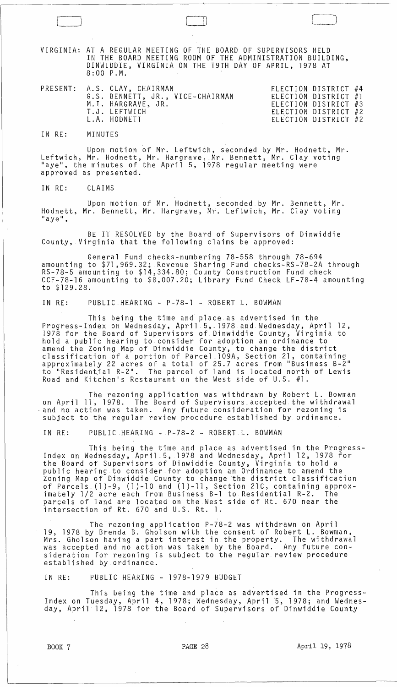VIRGINIA: AT A REGULAR MEETING OF THE BOARD OF SUPERVISORS HELD IN THE BOARD MEETING ROOM OF THE ADMINISTRATION BUILDING, DINWIDDIE, VIRGINIA ON THE 19TH DAY OF APRIL, 1978 AT 8:00 P.M.

|  | PRESENT: A.S. CLAY, CHAIRMAN     | ELECTION DISTRICT #4 |  |
|--|----------------------------------|----------------------|--|
|  | G.S. BENNETT, JR., VICE-CHAIRMAN | ELECTION DISTRICT #1 |  |
|  | M.I. HARGRAVE, JR.               | ELECTION DISTRICT #3 |  |
|  | T.J. LEFTWICH                    | ELECTION DISTRICT #2 |  |
|  | L.A. HODNETT                     | ELECTION DISTRICT #2 |  |

IN RE: MINUTES

Upon motion of Mr. Leftwich, seconded by Mr. Hodnett, Mr. Leftwich, Mr. Hodnett, Mr. Hargrave,.Mr. Bennett, Mr. Clay voting "aye", the minutes of the April 5, 1978 regular meeting were approved as presented.

IN RE: CLAIMS

Upon motion of Mr. Hodnett, seconded by Mr. Bennett, Mr. Hodnett, Mr. Bennett, Mr. Hargrave, Mr. Leftwich, Mr. Clay voting<br>"aye",

BE IT RESOLVED by the Board of Supervisors of Dinwiddie County, Virginia that the following claims be approved:

General Fund checks-numbering 78-558 through 78-694 amounting to \$71 ,969.32; Revenue Sharing Fund checks-RS-78-2A through RS-78-5 amounting to \$14,334.80; County Construction Fund check CCF-78-16 amounting to \$8,007.20; Library Fund Check LF-78-4 amounting to \$129.28.

IN RE: PUBLIC HEARING - P-78-1 - ROBERT L. BOWMAN

This being the time and place as advertised in the Progress-Index on Wednesday, April 5,.1978 and. Wednesday, April 12, 1978 for the Board of Supervisors of Dinwiddie County, Virginia to hold a public hearing to consider for adoption an ordinance to amend the Zoning Map of Dinwiddie County, to change the district classification of a portion of Parcel 109A, Section 21, containing approximately 22 acres of a total of 25.7 acres from "Business B-2" approximately 22 acres of a total of 25.7 acres from Business B-2<br>to "Residential R-2". The parcel of land is located north of Lewis Road and Kitchen's Restaurant on the West side of U.S. #1.

The rezoning application was withdrawn by Robert L. Bowman<br>on April 11, 1978. The Board of Supervisors accepted the withdrawal  $\sim$  and no action was taken. Any future consideration for rezoning is subject to the regular review procedure established by ordinance.

IN RE: PUBLIC HEARING - P-78-2 - ROBERT L. BOWMAN

This being the time and place as advertised in the Progress- Index on Wednesday, April 5, 1978 and Wednesday, April 12, 1978 for the Board of Supervisors of Dinwiddie County, Virginia to hold a public hearing.to consider.for adoption an Ordinance to amend the Zoning Map of Dinwiddie County to change the district classification of Parcels (1)-9, (1)-10 and (1)-11, Section 21C, containing approximately 1/2 acre each from Business B-1 to Residential R-2. The parcels of land are located on the West side of Rt. 670 near the intersection of Rt. 670 and U.S. Rt. 1.

The rezoning application P-78-2 was withdrawn on April 19, 1978 by Brenda B. Gholson with the consent of Robert L. Bowman, Mrs. Gholson having a part interest in the property. The withdrawal was accepted and no action was taken by the Board. Any future consideration for rezoning is subject to the regular review procedure established by ordinance.

IN RE: PUBLIC HEARING - 1978-1979 BUDGET

This being the time and place as advertised in the Progress-Index on Tuesday, April 4, 1978; Wednesday, April 5, 1978; and Wednesday, April 12, 1978 for the Board of Supervisors of Dinwiddie County

BOOK 7 **PAGE 28 PAGE 28 April 19, 1978** 

 $\bigcup$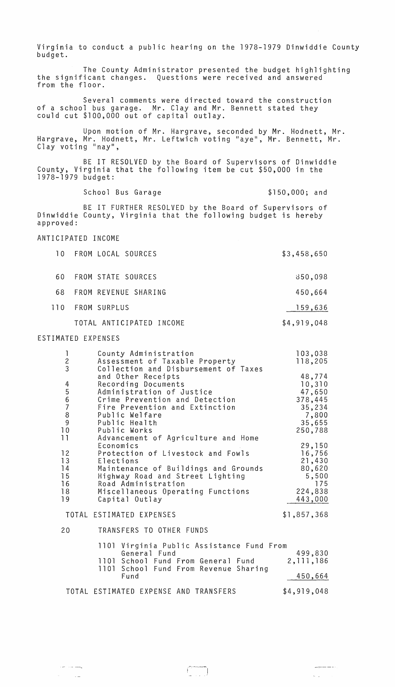Virginia to conduct a public hearing on the 1978-1979 Dinwiddie County budget.

The County Administrator presented the budget highlighting the significant changes. Questions were received and answered from the floor.

Several comments were directed toward the construction of a school bus garage. Mr. Clay and Mr. Bennett stated they could cut \$100,000 out of capital outlay.

Upon motion of Mr. Hargrave, seconded by Mr. Hodnett, Mr. Hargrave, Mr. Hodnett, Mr. Leftwich voting "aye", Mr. Bennett, Mr. Clay voting "nay",

BE IT RESOLVED by the Board of Supervisors of Dinwiddie County, Virginia that the following item be cut \$50,000 in the 1978-1979 budget:

School Bus Garage \$150,000; and

 $\label{eq:2.1} \omega_{\rm{max}} = \frac{1}{\sqrt{2}} \left( \frac{1}{\sqrt{2}} \right)^{1/2}$ 

BE IT FURTHER RESOLVED by the Board of Supervisors of Dinwiddie County, Virginia that the following budget is hereby approved:

## ANTICIPATED INCOME

|      | 10 FROM LOCAL SOURCES    | \$3,458,650 |
|------|--------------------------|-------------|
| 60.  | FROM STATE SOURCES       | 850,098     |
| 68.  | FROM REVENUE SHARING     | 450,664     |
| 110. | FROM SURPLUS             | 159,636     |
|      | TOTAL ANTICIPATED INCOME | \$4,919,048 |

## ESTIMATED EXPENSES

بصدعت المراد

 $\mathcal{A}^{\text{max}}_{\text{max}}$ 

| 1<br>$\frac{2}{3}$                           | County Administration<br>Assessment of Taxable Property<br>Collection and Disbursement of Taxes                                                                                                                                                              | 103,038<br>118,205                                                            |
|----------------------------------------------|--------------------------------------------------------------------------------------------------------------------------------------------------------------------------------------------------------------------------------------------------------------|-------------------------------------------------------------------------------|
| 45678<br>9<br>10                             | and Other Receipts<br>Recording Documents<br>Administration of Justice<br>Crime Prevention and Detection<br>Fire Prevention and Extinction<br>Public Welfare<br>Public Health<br>Public Works                                                                | 48,774<br>10,310<br>47,650<br>378,445<br>35,234<br>7,800<br>35,655<br>250,788 |
| 11<br>12<br>13<br>14<br>15<br>16<br>18<br>19 | Advancement of Agriculture and Home<br>Economics<br>Protection of Livestock and Fowls<br>Elections<br>Maintenance of Buildings and Grounds<br>Highway Road and Street Lighting<br>Road Administration<br>Miscellaneous Operating Functions<br>Capital Outlay | 29,150<br>16,756<br>21,430<br>80,620<br>5,500<br>175<br>224,838<br>443,000    |
|                                              | TOTAL ESTIMATED EXPENSES                                                                                                                                                                                                                                     | \$1,857,368                                                                   |
| 20                                           | TRANSFERS TO OTHER FUNDS                                                                                                                                                                                                                                     |                                                                               |
|                                              | 1101 Virginia Public Assistance Fund From<br>General Fund<br>1101 School Fund From General Fund<br>1101 School Fund From Revenue Sharing<br>Fund                                                                                                             | 499,830<br>2, 111, 186<br>450,664                                             |
|                                              | TOTAL ESTIMATED EXPENSE AND TRANSFERS                                                                                                                                                                                                                        | \$4,919,048                                                                   |

 $\begin{pmatrix} 1 & 0 & 0 \\ 0 & 0 & 0 \\ 0 & 0 & 0 \end{pmatrix}$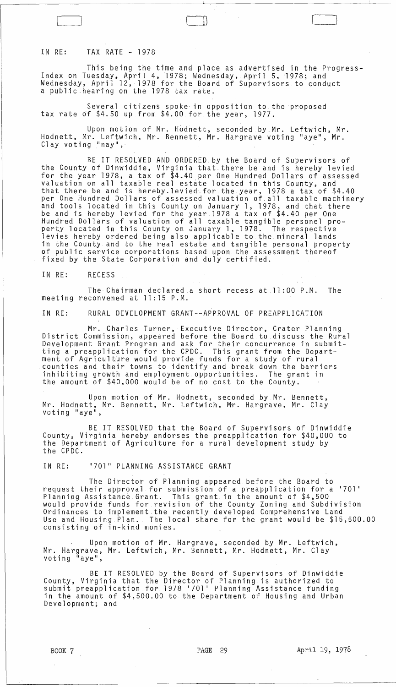## IN RE: TAX RATE - 1978

This being the time and place as advertised in the Progress-Index on Tuesday, April 4,1978; Wednesday, April 5,1978; and Wednesday, April 12, 1978 for the Board of Supervisors to conduct a public ,hearing on the 1978 tax rate.

 $\Box$ 

Several citizens spoke in opposition to the proposed tax rate 6f \$4.50 up from \$4.00 for the year, 1977.

Upon motion of Mr. Hodnett, seconded by Mr. Leftwich, Mr. Hodnett, Mr. Leftwich, Mr. Bennett, Mr. Hargrave voting "aye", Mr. Clay voting "nay",

BE IT RESOLVED AND ORDERED by the Board of Supervisors of the County of Dinwiddie, Virginia that-there be and is hereby levied for the year 1978, a tax of \$4.40 per One Hundred Dollars of assessed valuation on all taxable real estate located in this County, and that there be and is hereby.levied,for the year, 1978 a tax of \$4.40 per One Hundred Dollars of assessed valuation of all taxable machinery and tools located in this County on January 1, 1978, and that there be and is hereby levied for the year 1978 a tax of \$4.40 per One Hundred Dollars of valuation of all taxable tangible personel property located in this County on January 1, 1978. The respective levies hereby ordered being also applicable to the mineral lands in the County and to the real estate and tangible personal property of public service corporations based upon the assessment thereof fixed by the State Corporation and duly certified.

IN RE: RECESS

The Chairman declared a short recess at 11 :00 P.M. The meeting reconvened at 11:15 P.M.

IN RE: RURAL DEVELOPMENT GRANT--APPROVAL OF PREAPPLICATION

Mr. Charles Turner,Executive Director, Crater Planning District Commission, appeared before the Board to discuss the Rural Development Grant Program and ask for their concurrence in submitting a preapplication for the CPDC. This grant from the Department of Agriculture would provide funds for a study of rural counties and their towns to identify and break down the barriers inhibiting growth and employment opportunities. The grant in the amount of \$40,000 would be of no cost to the County.

Upon motion of Mr. Hodnett, seconded by Mr. Bennett, Mr. Hodnett, Mr. Bennett, Mr. Leftwich, Mr. Hargrave, Mr. Clay<br>voting "aye",

BE IT RESOLVED that the Board of Supervisors of Dinwiddie County, Virginia hereby endorses the preapplication for \$40,000 to the Department of Agriculture for a rural development study by the CPDC.

IN RE: "701" PLANNING ASSISTANCE GRANT

The Director of Planning appeared before the Board to request their approval for submission of a preapplication for a 17011 Planning Assistance Grant. This grant in the amount of \$4,500 would provide funds for revision of the County Zoning and Subdivision Ordinances to implement the recently developed Comprehensive Land Use and Housing Plan. The local share for the grant would be \$15,500.00 consisting of in-kind monies.

Upon motion of Mr. Hargrave, seconded by Mr. Leftwich, Mr. Hargrave, Mr. Leftwich, Mr. Bennett, Mr. Hodnett, Mr. Clay voting "aye",

BE IT RESOLVED by the Board of Supervisors of Dinwiddie County, Virginia that the Director of Planning is authorized to submit preapplication for 1978 '701' Planning Assistance funding in the amount of \$4,500.00 to the Department of Housing and Urban Development; and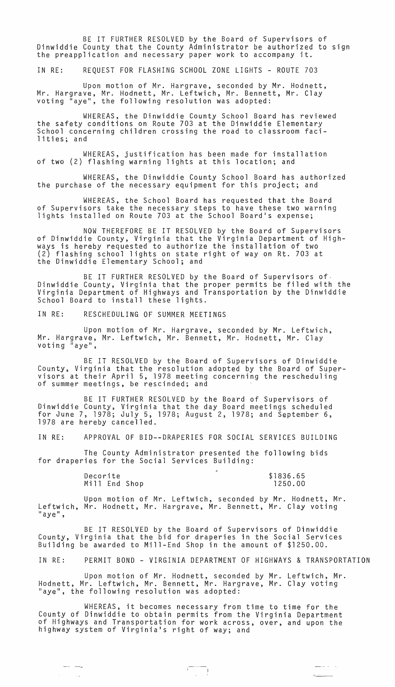BE IT FURTHER RESOLVED by the Board of Supervisors of Dinwiddie County that the County Administrator be authorized to sign<br>the preapplication and necessary paper work to accompany it.

IN RE: REQUEST FOR FLASHING SCHOOL ZONE LIGHTS - ROUTE 703

Upon motion of Mr. Hargrave, seconded by Mr. Hodnett, Mr. Hargrave, Mr. Hodnett, Mr. Leftwich, Mr. Bennett, Mr. Clay<br>voting "aye", the following resolution was adopted:

WHEREAS, the Dinwiddie County School Board has reviewed the safety conditions on Route 703 at the Dinwiddie Elementary School concerning children crossing the road to classroom facilities; and

WHEREAS, justification has been made for installation of two (2) flashing warning lights at this location; and

WHEREAS, the Dinwiddie County School Board has authorized the purchase of the necessary equipment for this project; and

WHEREAS, the School Board has requested that the Board of Supervisors take the necessary steps to have these two warning<br>lights installed on Route 703 at the School Board's expense;

NOW THEREFORE BE IT RESOLVED by the Board of Supervisors of Dinwiddie County, Virginia that the Virginia Department of Highways is hereby requested to authorize the installation of two (2) flashing school lights on state right of way on Rt. 703 at the Dinwiddie Elementary School; and

BE IT FURTHER RESOLVED by the Board of Supervisors of, Dinwiddie County, Virginia that the proper permits be filed with the Virginia Department of Highways and Transportation by the Dinwiddie School Board to install these lights.

IN RE: RESCHEDULING OF SUMMER MEETINGS

Upon motion of Mr. Hargrave, seconded by Mr. Leftwich, Mr. Hargrave, Mr. Leftwich, Mr. Bennett, Mr. Hodnett, Mr. Clay<br>voting "aye",

BE IT RESOLVED by the Board of Supervisors of Dinwiddie County, Virginia that the resolution adopted by the Board of Supervisors at their April 5, 1978 meeting concerning the rescheduling<br>of summer meetings, be rescinded; and

BE IT FURTHER RESOLVED by the Board of Supervisors of Dinwiddie County, Virginia that the day Board meetings scheduled for June 7, 1978; July 5, 1978; August 2, 1978; and September 6, 1978 are hereby cancelled.

IN RE: APPROVAL OF BID--DRAPERIES FOR SOCIAL SERVICES BUILDING

The County Administrator presented the following bids for draperies for the Social Services Building:

> Decorite Mi **11** End Shop

 $\begin{array}{ccc} \textbf{---} & \textbf{---} \end{array}$ 

 $\alpha$  ,  $\beta$  ,  $\beta$  ,  $\alpha$ 

\$1836.65 1250.00

 $\sigma_{\text{unim}}$ 

<u>—</u> 12 million

Upon motion of Mr. Leftwich, seconded by Mr. Hodnett, Mr. Leftwich, Mr. Hodnett, Mr. Hargrave, Mr. Bennett, Mr. Clay voting<br>"aye",

BE IT RESOLVED by the Board of Supervisors of Dinwiddie County, Virginia that the bid for draperies in the Social Services Building be awarded to Mill-End Shop in the amount of \$1250.00.

IN RE: PERMIT BOND - VIRGINIA DEPARTMENT OF HIGHWAYS & TRANSPORTATION

Upon motion of Mr. Hodnett, seconded by Mr. Leftwich, Mr. Hodnett, Mr. Leftwich, Mr. Bennett, Mr. Hargrave, Mr. Clay voting<br>"aye", the following resolution was adopted:

WHEREAS, it becomes necessary from time to time for the County of Dinwiddie to obtain permits from the Virginia Department of Highways and Transportation for work across, over, and upon the highway system of Virginia1s right of way; and

 $\begin{pmatrix} 1 & 1 \\ 1 & 1 \end{pmatrix}$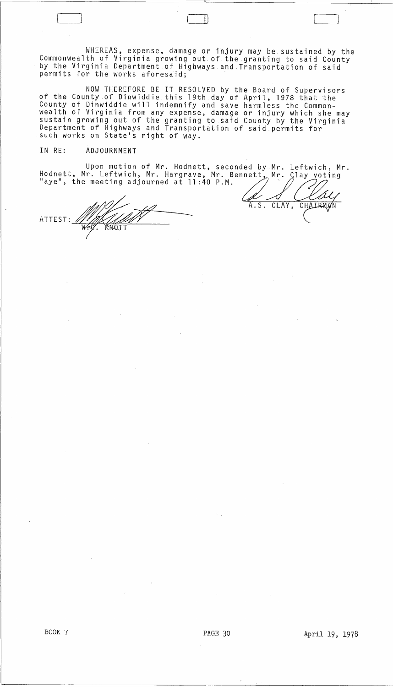WHEREAS, expense, damage or injury may be sustained by the Commonwealth of Virginia growing out of the granting to said County by the Virginia Department of Highways and Transportation of said permits for the works aforesaid;

NOW THEREFORE BE IT RESOLVED by the Board of Supervisors of the County of Dinwiddie this 19th day of April, 1978 that the County of Dinwiddie will indemnify and save harmless the Commonwealth of Virginia from any expense, damage or injury which she may sustain growing out of the granting to said County by the Virginia Department of Highways and Transportation of said permits for such works on State's right of way.

## IN RE: ADJOURNMENT

Upon motion of Mr. Hodnett, seconded by Mr. Leftwich, Mr. Hodnett, Mr. Leftwich, Mr. Hargrave, Mr. Bennett, Mr. Clay voting IN RE: ADJOURNMENT<br>Upon motion of Mr. Hodnett, seconded by Mr. Left<br>Hodnett, Mr. Leftwich, Mr. Hargrave, Mr. Bennett, Mr. Clay<br>"aye", the meeting adjourned at 11:40 P.M.

ATTEST:

 $\sim$ 

 $\vert$ 

A.S. CLAY, CHAIRMAN